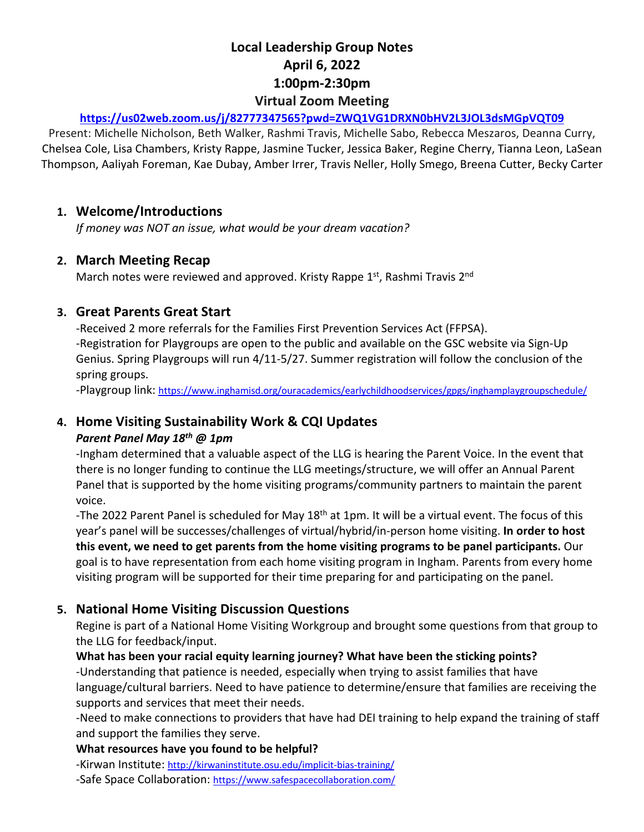# **Local Leadership Group Notes April 6, 2022 1:00pm-2:30pm Virtual Zoom Meeting**

#### **https://us02web.zoom.us/j/82777347565?pwd=ZWQ1VG1DRXN0bHV2L3JOL3dsMGpVQT09**

Present: Michelle Nicholson, Beth Walker, Rashmi Travis, Michelle Sabo, Rebecca Meszaros, Deanna Curry, Chelsea Cole, Lisa Chambers, Kristy Rappe, Jasmine Tucker, Jessica Baker, Regine Cherry, Tianna Leon, LaSean Thompson, Aaliyah Foreman, Kae Dubay, Amber Irrer, Travis Neller, Holly Smego, Breena Cutter, Becky Carter

### **1. Welcome/Introductions**

*If money was NOT an issue, what would be your dream vacation?*

#### **2. March Meeting Recap**

March notes were reviewed and approved. Kristy Rappe 1st, Rashmi Travis 2nd

## **3. Great Parents Great Start**

-Received 2 more referrals for the Families First Prevention Services Act (FFPSA). -Registration for Playgroups are open to the public and available on the GSC website via Sign-Up Genius. Spring Playgroups will run 4/11-5/27. Summer registration will follow the conclusion of the spring groups.

-Playgroup link: https://www.inghamisd.org/ouracademics/earlychildhoodservices/gpgs/inghamplaygroupschedule/

## **4. Home Visiting Sustainability Work & CQI Updates**

#### *Parent Panel May 18th @ 1pm*

-Ingham determined that a valuable aspect of the LLG is hearing the Parent Voice. In the event that there is no longer funding to continue the LLG meetings/structure, we will offer an Annual Parent Panel that is supported by the home visiting programs/community partners to maintain the parent voice.

-The 2022 Parent Panel is scheduled for May 18<sup>th</sup> at 1pm. It will be a virtual event. The focus of this year's panel will be successes/challenges of virtual/hybrid/in-person home visiting. **In order to host this event, we need to get parents from the home visiting programs to be panel participants.** Our goal is to have representation from each home visiting program in Ingham. Parents from every home visiting program will be supported for their time preparing for and participating on the panel.

## **5. National Home Visiting Discussion Questions**

Regine is part of a National Home Visiting Workgroup and brought some questions from that group to the LLG for feedback/input.

#### **What has been your racial equity learning journey? What have been the sticking points?**

-Understanding that patience is needed, especially when trying to assist families that have language/cultural barriers. Need to have patience to determine/ensure that families are receiving the supports and services that meet their needs.

-Need to make connections to providers that have had DEI training to help expand the training of staff and support the families they serve.

#### **What resources have you found to be helpful?**

-Kirwan Institute: http://kirwaninstitute.osu.edu/implicit-bias-training/

-Safe Space Collaboration: https://www.safespacecollaboration.com/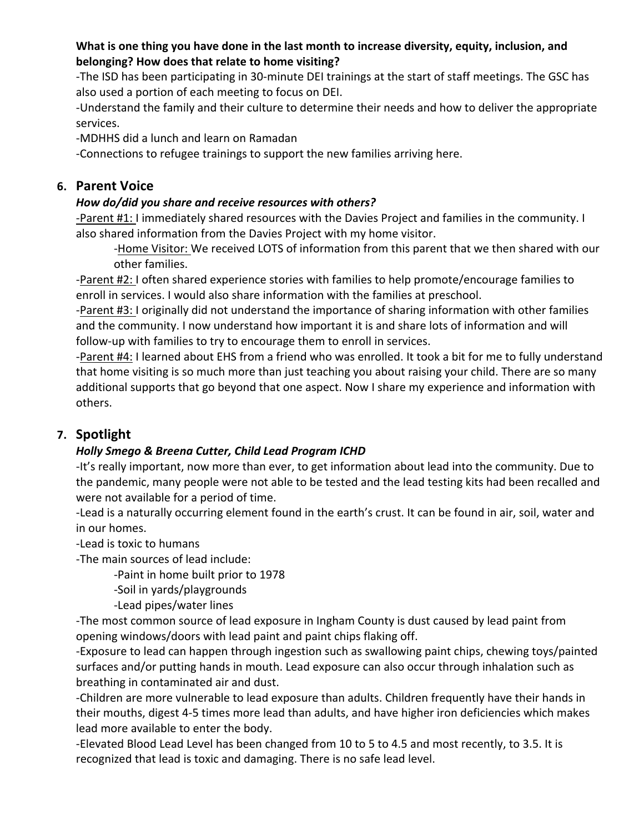### **What is one thing you have done in the last month to increase diversity, equity, inclusion, and belonging? How does that relate to home visiting?**

-The ISD has been participating in 30-minute DEI trainings at the start of staff meetings. The GSC has also used a portion of each meeting to focus on DEI.

-Understand the family and their culture to determine their needs and how to deliver the appropriate services.

-MDHHS did a lunch and learn on Ramadan

-Connections to refugee trainings to support the new families arriving here.

# **6. Parent Voice**

## *How do/did you share and receive resources with others?*

-Parent #1: I immediately shared resources with the Davies Project and families in the community. I also shared information from the Davies Project with my home visitor.

-Home Visitor: We received LOTS of information from this parent that we then shared with our other families.

-Parent #2: I often shared experience stories with families to help promote/encourage families to enroll in services. I would also share information with the families at preschool.

-Parent #3: I originally did not understand the importance of sharing information with other families and the community. I now understand how important it is and share lots of information and will follow-up with families to try to encourage them to enroll in services.

-Parent #4: I learned about EHS from a friend who was enrolled. It took a bit for me to fully understand that home visiting is so much more than just teaching you about raising your child. There are so many additional supports that go beyond that one aspect. Now I share my experience and information with others.

# **7. Spotlight**

## *Holly Smego & Breena Cutter, Child Lead Program ICHD*

-It's really important, now more than ever, to get information about lead into the community. Due to the pandemic, many people were not able to be tested and the lead testing kits had been recalled and were not available for a period of time.

-Lead is a naturally occurring element found in the earth's crust. It can be found in air, soil, water and in our homes.

-Lead is toxic to humans

-The main sources of lead include:

-Paint in home built prior to 1978

-Soil in yards/playgrounds

-Lead pipes/water lines

-The most common source of lead exposure in Ingham County is dust caused by lead paint from opening windows/doors with lead paint and paint chips flaking off.

-Exposure to lead can happen through ingestion such as swallowing paint chips, chewing toys/painted surfaces and/or putting hands in mouth. Lead exposure can also occur through inhalation such as breathing in contaminated air and dust.

-Children are more vulnerable to lead exposure than adults. Children frequently have their hands in their mouths, digest 4-5 times more lead than adults, and have higher iron deficiencies which makes lead more available to enter the body.

-Elevated Blood Lead Level has been changed from 10 to 5 to 4.5 and most recently, to 3.5. It is recognized that lead is toxic and damaging. There is no safe lead level.